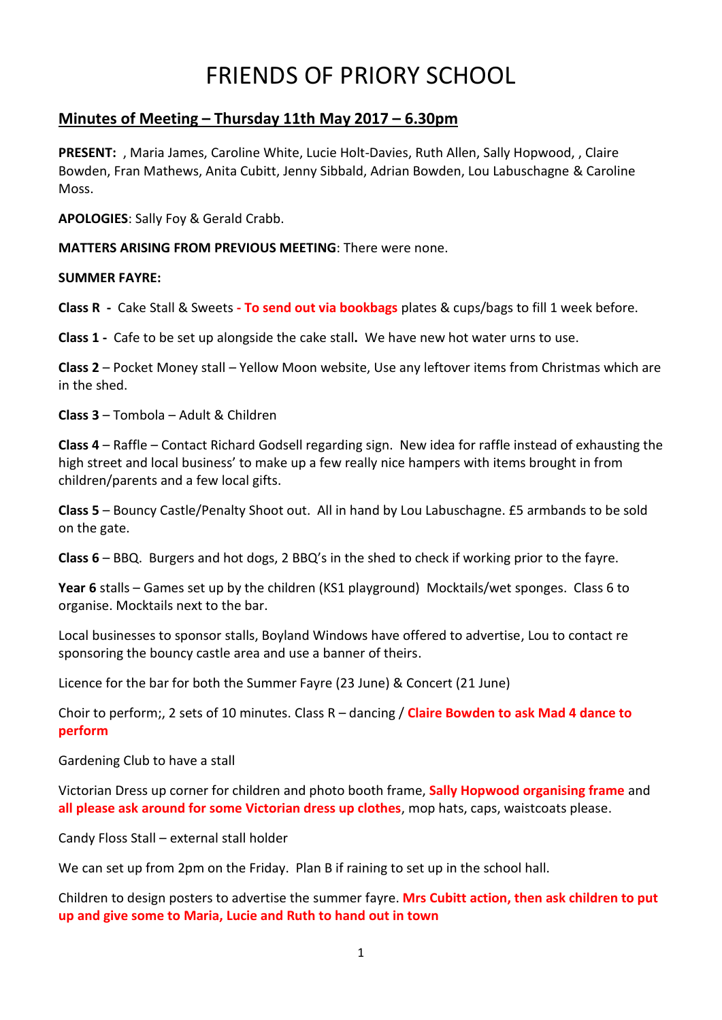# FRIENDS OF PRIORY SCHOOL

# **Minutes of Meeting – Thursday 11th May 2017 – 6.30pm**

**PRESENT:** , Maria James, Caroline White, Lucie Holt-Davies, Ruth Allen, Sally Hopwood, , Claire Bowden, Fran Mathews, Anita Cubitt, Jenny Sibbald, Adrian Bowden, Lou Labuschagne & Caroline Moss.

**APOLOGIES**: Sally Foy & Gerald Crabb.

**MATTERS ARISING FROM PREVIOUS MEETING**: There were none.

## **SUMMER FAYRE:**

**Class R -** Cake Stall & Sweets **- To send out via bookbags** plates & cups/bags to fill 1 week before.

**Class 1 -** Cafe to be set up alongside the cake stall**.** We have new hot water urns to use.

**Class 2** – Pocket Money stall – Yellow Moon website, Use any leftover items from Christmas which are in the shed.

**Class 3** – Tombola – Adult & Children

**Class 4** – Raffle – Contact Richard Godsell regarding sign. New idea for raffle instead of exhausting the high street and local business' to make up a few really nice hampers with items brought in from children/parents and a few local gifts.

**Class 5** – Bouncy Castle/Penalty Shoot out. All in hand by Lou Labuschagne. £5 armbands to be sold on the gate.

**Class 6** – BBQ. Burgers and hot dogs, 2 BBQ's in the shed to check if working prior to the fayre.

**Year 6** stalls – Games set up by the children (KS1 playground) Mocktails/wet sponges. Class 6 to organise. Mocktails next to the bar.

Local businesses to sponsor stalls, Boyland Windows have offered to advertise, Lou to contact re sponsoring the bouncy castle area and use a banner of theirs.

Licence for the bar for both the Summer Fayre (23 June) & Concert (21 June)

Choir to perform;, 2 sets of 10 minutes. Class R – dancing / **Claire Bowden to ask Mad 4 dance to perform**

Gardening Club to have a stall

Victorian Dress up corner for children and photo booth frame, **Sally Hopwood organising frame** and **all please ask around for some Victorian dress up clothes**, mop hats, caps, waistcoats please.

Candy Floss Stall – external stall holder

We can set up from 2pm on the Friday. Plan B if raining to set up in the school hall.

Children to design posters to advertise the summer fayre. **Mrs Cubitt action, then ask children to put up and give some to Maria, Lucie and Ruth to hand out in town**